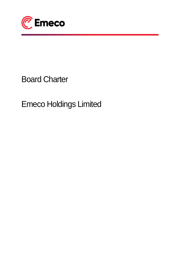

# Board Charter

Emeco Holdings Limited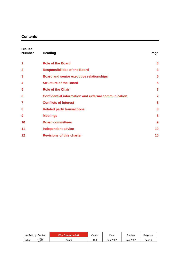# **Contents**

| <b>Clause</b><br><b>Number</b> | <b>Heading</b>                                             | Page           |
|--------------------------------|------------------------------------------------------------|----------------|
| 1                              | <b>Role of the Board</b>                                   | 3              |
| $\mathbf{2}$                   | <b>Responsibilities of the Board</b>                       | 3              |
| 3                              | <b>Board and senior executive relationships</b>            | 5              |
| 4                              | <b>Structure of the Board</b>                              | 5              |
| 5                              | <b>Role of the Chair</b>                                   | $\overline{7}$ |
| 6                              | <b>Confidential information and external communication</b> | $\overline{7}$ |
| 7                              | <b>Conflicts of interest</b>                               | 8              |
| 8                              | <b>Related party transactions</b>                          | 8              |
| 9                              | <b>Meetings</b>                                            | 8              |
| 10                             | <b>Board committees</b>                                    | 9              |
| 11                             | <b>Independent advice</b>                                  | 10             |
| 12                             | <b>Revisions of this charter</b>                           | 10             |

| Verified by: Co.Sec | $EC - Charter - 001$ | Version | Date     | Review          | Page No. |
|---------------------|----------------------|---------|----------|-----------------|----------|
| ₩<br>Initial:       | Board                | 13.0    | Jun 2022 | <b>Nov 2022</b> | Page 2   |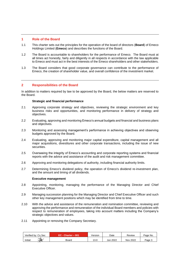# **1 Role of the Board**

- 1.1 This charter sets out the principles for the operation of the board of directors (**Board**) of Emeco Holdings Limited (**Emeco**) and describes the functions of the Board.
- 1.2 The Board is accountable to shareholders for the performance of Emeco. The Board must at all times act honestly, fairly and diligently in all respects in accordance with the law applicable to Emeco and must act in the best interests of the Emeco shareholders and other stakeholders.
- 1.3 The Board considers that good corporate governance can contribute to the performance of Emeco, the creation of shareholder value, and overall confidence of the investment market.

# **2 Responsibilities of the Board**

In addition to matters required by law to be approved by the Board, the below matters are reserved to the Board.

### **Strategic and financial performance**

- 2.1 Approving corporate strategy and objectives, reviewing the strategic environment and key business risks and opportunities, and monitoring performance in delivery of strategy and objectives.
- 2.2 Evaluating, approving and monitoring Emeco's annual budgets and financial and business plans and objectives.
- 2.3 Monitoring and assessing management's performance in achieving objectives and observing budgets approved by the Board.
- 2.4 Evaluating, approving and monitoring major capital expenditure, capital management and all major acquisitions, divestitures and other corporate transactions, including the issue of new securities.
- 2.5 Overseeing the integrity of Emeco's accounting and corporate reporting systems and financial reports with the advice and assistance of the audit and risk management committee.
- 2.6 Approving and monitoring delegations of authority, including financial authority limits.
- 2.7 Determining Emeco's dividend policy, the operation of Emeco's dividend re-investment plan, and the amount and timing of all dividends.

### **Executive management**

- 2.8 Appointing, monitoring, managing the performance of the Managing Director and Chief Executive Officer.
- 2.9 Managing succession planning for the Managing Director and Chief Executive Officer and such other key management positions which may be identified from time to time.
- 2.10 With the advice and assistance of the remuneration and nomination committee, reviewing and approving the performance and remuneration of the individual Board members and policies with respect to remuneration of employees, taking into account matters including the Company's strategic objectives and values.
- 2.11 Appointing or removing the Company Secretary.

| Verified bv: Co Sec       | $EC - Charter - 001$ | /ersion | Date     | Review   | Page No. |
|---------------------------|----------------------|---------|----------|----------|----------|
| $\Rightarrow$<br>Initial: | Board                | 13.0    | Jun 2022 | Nov 2022 | Page 5   |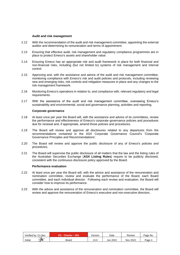### **Audit and risk management**

- 2.12 With the recommendation of the audit and risk management committee, appointing the external auditor and determining its remuneration and terms of appointment.
- 2.13 Ensuring that effective audit, risk management and regulatory compliance programmes are in place to protect Emeco's assets and shareholder value.
- 2.14 Ensuring Emeco has an appropriate risk and audit framework in place for both financial and non-financial risks, including (but not limited to) systems of risk management and internal control.
- 2.15 Approving and, with the assistance and advice of the audit and risk management committee, monitoring compliance with Emeco's risk and audit policies and protocols, including reviewing new and emerging risks, risk controls and mitigation measures in place and any changes to the risk management framework.
- 2.16 Monitoring Emeco's operations in relation to, and compliance with, relevant regulatory and legal requirements.
- 2.17 With the assistance of the audit and risk management committee, overseeing Emeco's sustainability and environmental, social and governance planning, activities and reporting.

#### **Corporate governance**

- 2.18 At least once per year the Board will, with the assistance and advice of its committees, review the performance and effectiveness of Emeco's corporate governance policies and procedures due for renewal and, if appropriate, amend those policies and procedures.
- 2.19 The Board will review and approve all disclosures related to any departures from the recommendations contained in the ASX Corporate Governance Council's 'Corporate Governance Principles and Recommendations'.
- 2.20 The Board will review and approve the public disclosure of any of Emeco's policies and procedures.
- 2.21 The Board will supervise the public disclosure of all matters that the law and the listing rules of the Australian Securities Exchange (**ASX Listing Rules**) require to be publicly disclosed, consistent with the continuous disclosure policy approved by the Board.

### **Performance evaluation**

- 2.22 At least once per year the Board will, with the advice and assistance of the remuneration and nomination committee, review and evaluate the performance of the Board, each Board committee, and each individual director. Following each review and evaluation, the Board will consider how to improve its performance.
- 2.23 With the advice and assistance of the remuneration and nomination committee, the Board will review and approve the remuneration of Emeco's executive and non-executive directors.

| Verified by: Co Sec | $EC - Charter - 001$ | ∕ersion       | Date     | Review   | Page No. |
|---------------------|----------------------|---------------|----------|----------|----------|
| ₩<br>Initial:       | Board                | 12 O<br>1 J.U | Jun 2022 | Nov 2022 | Page 4   |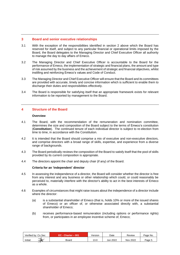# **3 Board and senior executive relationships**

- 3.1 With the exception of the responsibilities identified in section 2 above which the Board has reserved for itself, and subject to any particular financial or operational limits imposed by the Board, the Board delegates to the Managing Director and Chief Executive Officer all authority to manage the day to day affairs of Emeco.
- 3.2 The Managing Director and Chief Executive Officer is accountable to the Board for the performance of Emeco, the implementation of strategic and financial plans, the amount and type of risk assumed by the business and the achievement of strategic and financial objectives, whilst instilling and reinforcing Emeco's values and Code of Conduct.
- 3.3 The Managing Director and Chief Executive Officer will ensure that the Board and its committees are provided with accurate, timely and concise information which is sufficient to enable them to discharge their duties and responsibilities effectively.
- 3.4 The Board is responsible for satisfying itself that an appropriate framework exists for relevant information to be reported by management to the Board.

# **4 Structure of the Board**

### **Overview**

- 4.1 The Board, with the recommendation of the remuneration and nomination committee, determines the size and composition of the Board subject to the terms of Emeco's constitution (**Constitution**). The continued tenure of each individual director is subject to re-election from time to time, in accordance with the Constitution.
- 4.2 It is intended that the Board should comprise a mix of executive and non-executive directors, and comprise directors with a broad range of skills, expertise, and experience from a diverse range of backgrounds.
- 4.3 The Board periodically reviews the composition of the Board to satisfy itself that the pool of skills provided by its current composition is appropriate.
- 4.4 The directors appoint the chair and deputy chair (if any) of the Board.

### **Criteria for an 'independent' director**

- 4.5 In assessing the independence of a director, the Board will consider whether the director is free from any interest and any business or other relationship which could, or could reasonably be perceived to, materially interfere with the director's ability to act in the best interests of Emeco as a whole.
- 4.6 Examples of circumstances that might raise issues about the independence of a director include where the director:
	- (a) is a substantial shareholder of Emeco (that is, holds 10% or more of the issued shares of Emeco) or an officer of, or otherwise associated directly with, a substantial shareholder of Emeco;
	- (b) receives performance-based remuneration (including options or performance rights) from, or participates in an employee incentive scheme of, Emeco;

| Verified bv: Co Sec       | $EC - Charter - 001$ | Version | Date     | Review   | Page No. |
|---------------------------|----------------------|---------|----------|----------|----------|
| $\Rightarrow$<br>Initial: | Board                | 13.0    | Jun 2022 | Nov 2022 | Page 5   |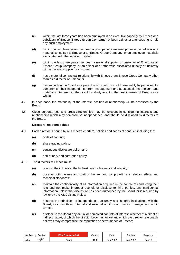- (c) within the last three years has been employed in an executive capacity by Emeco or a subsidiary of Emeco (**Emeco Group Company**), or been a director after ceasing to hold any such employment;
- (d) within the last three years has been a principal of a material professional adviser or a material consultant to Emeco or an Emeco Group Company, or an employee materially associated with the service provided;
- (e) within the last three years has been a material supplier or customer of Emeco or an Emeco Group Company, or an officer of or otherwise associated directly or indirectly with a material supplier or customer;
- (f) has a material contractual relationship with Emeco or an Emeco Group Company other than as a director of Emeco; or
- (g) has served on the Board for a period which could, or could reasonably be perceived to, compromise their independence from management and substantial shareholders and materially interfere with the director's ability to act in the best interests of Emeco as a whole.
- 4.7 In each case, the materiality of the interest, position or relationship will be assessed by the Board.
- 4.8 Close personal ties and cross-directorships may be relevant in considering interests and relationships which may compromise independence, and should be disclosed by directors to the Board.

# **Directors' responsibilities**

- 4.9 Each director is bound by all Emeco's charters, policies and codes of conduct, including the:
	- (a) code of conduct;
	- (b) share trading policy;
	- (c) continuous disclosure policy; and
	- (d) anti-bribery and corruption policy.
- 4.10 The directors of Emeco must:
	- (a) conduct their duties at the highest level of honesty and integrity;
	- (b) observe both the rule and spirit of the law, and comply with any relevant ethical and technical standards;
	- (c) maintain the confidentiality of all information acquired in the course of conducting their role and not make improper use of, or disclose to third parties, any confidential information unless that disclosure has been authorised by the Board, or is required by law or by the ASX Listing Rules;
	- (d) observe the principles of independence, accuracy and integrity in dealings with the Board, its committees, internal and external auditors and senior management within Emeco;
	- (e) disclose to the Board any actual or perceived conflicts of interest, whether of a direct or indirect nature, of which the director becomes aware and which the director reasonably believes may compromise the reputation or performance of Emeco;

| Verified bv: Co.Sec | $C$ - Charter - 001 | Version      | Date     | Review   | Page No. |
|---------------------|---------------------|--------------|----------|----------|----------|
| 飞<br>Initial:       | Board               | 12c<br>∣ J.U | Jun 2022 | Nov 2022 | Page 6   |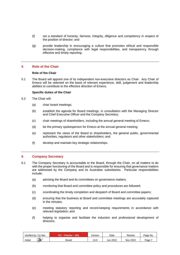- (f) set a standard of honesty, fairness, integrity, diligence and competency in respect of the position of director; and
- (g) provide leadership in encouraging a culture that promotes ethical and responsible decision-making, compliance with legal responsibilities, and transparency through effective and timely reporting.

# **5 Role of the Chair**

# **Role of the Chair**

5.1 The Board will appoint one of its independent non-executive directors as Chair. Any Chair of Emeco will be selected on the basis of relevant experience, skill, judgement and leadership abilities to contribute to the effective direction of Emeco.

# **Specific duties of the Chair**

- 5.2 The Chair will:
	- (a) chair board meetings;
	- (b) establish the agenda for Board meetings, in consultation with the Managing Director and Chief Executive Officer and the Company Secretary;
	- (c) chair meetings of shareholders, including the annual general meeting of Emeco;
	- (d) be the primary spokesperson for Emeco at the annual general meeting;
	- (e) represent the views of the Board to shareholders, the general public, governmental authorities, regulators and other stakeholders; and
	- (f) develop and maintain key strategic relationships.

### **6 Company Secretary**

- 6.1 The Company Secretary is accountable to the Board, through the Chair, on all matters to do with the proper functioning of the Board and is responsible for ensuring that governance matters are addressed by the Company and its Australian subsidiaries. Particular responsibilities include:
	- (a) advising the Board and its committees on governance matters;
	- (b) monitoring that Board and committee policy and procedures are followed;
	- (c) coordinating the timely completion and despatch of Board and committee papers;
	- (d) ensuring that the business at Board and committee meetings are accurately captured in the minutes;
	- (e) meeting statutory reporting and record-keeping requirements in accordance with relevant legislation; and
	- (f) helping to organise and facilitate the induction and professional development of directors.

| Verified by: Co Sec    | $EC - Character - 001$ | Version       | Date     | Review   | Page No. |
|------------------------|------------------------|---------------|----------|----------|----------|
| $\,$<br>Initial:<br>-- | Board                  | 12 C<br>. J.U | Jun 2022 | Nov 2022 | Page     |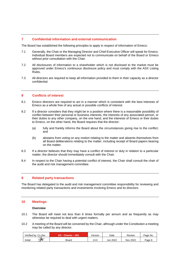# **7 Confidential information and external communication**

The Board has established the following principles to apply in respect of information of Emeco:

- 7.1 Generally, the Chair or the Managing Director and Chief Executive Officer will speak for Emeco. Individual Board members are expected not to communicate on behalf of the Board or Emeco without prior consultation with the Chair.
- 7.2 All disclosures of information to a shareholder which is not disclosed to the market must be approved under Emeco's continuous disclosure policy and must comply with the ASX Listing Rules.
- 7.3 All directors are required to keep all information provided to them in their capacity as a director confidential.

### **8 Conflicts of interest**

- 8.1 Emeco directors are required to act in a manner which is consistent with the best interests of Emeco as a whole free of any actual or possible conflicts of interest.
- 8.2 If a director considers that they might be in a position where there is a reasonable possibility of conflict between their personal or business interests, the interests of any associated person, or their duties to any other company, on the one hand, and the interests of Emeco or their duties to Emeco, on the other hand, the Board requires that the director:
	- (a) fully and frankly informs the Board about the circumstances giving rise to the conflict; and
	- (b) abstains from voting on any motion relating to the matter and absents themselves from all Board deliberations relating to the matter, including receipt of Board papers bearing on the matter.
- 8.3 If a director believes that they may have a conflict of interest or duty in relation to a particular matter, the director should immediately consult with the Chair.
- 8.4 In respect to the Chair having a potential conflict of interest, the Chair shall consult the chair of the audit and risk management committee.

### **9 Related party transactions**

The Board has delegated to the audit and risk management committee responsibility for reviewing and monitoring related party transactions and investments involving Emeco and its directors.

#### **10 Meetings**

#### **Overview**

- 10.1 The Board will meet not less than 6 times formally per annum and as frequently as may otherwise be required to deal with urgent matters.
- 10.2 A meeting of the Board will be convened by the Chair, although under the Constitution a meeting may be called by any director.

| Verified bv: Co Sec       | $EC - Charter - 001$ | √ersion     | Date     | Review   | Page No.         |
|---------------------------|----------------------|-------------|----------|----------|------------------|
| $\rightarrow$<br>Initial: | Board                | 10<br>1 J.U | Jun 2022 | Nov 2022 | $P$ age $\delta$ |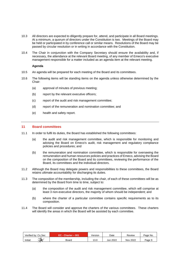- 10.3 All directors are expected to diligently prepare for, attend, and participate in all Board meetings. At a minimum, a quorum of directors under the Constitution is two. Meetings of the Board may be held or participated in by conference call or similar means. Resolutions of the Board may be passed by circular resolution or in writing in accordance with the Constitution.
- 10.4 The Chair in conjunction with the Company Secretary should ensure the availability and, if necessary, the attendance at the relevant Board meeting, of any member of Emeco's executive management responsible for a matter included as an agenda item at the relevant meeting.

# **Agenda**

- 10.5 An agenda will be prepared for each meeting of the Board and its committees.
- 10.6 The following items will be standing items on the agenda unless otherwise determined by the Chair:
	- (a) approval of minutes of previous meeting;
	- (b) report by the relevant executive officers;
	- (c) report of the audit and risk management committee;
	- (d) report of the remuneration and nomination committee; and
	- (e) health and safety report.

# **11 Board committees**

- 11.1 In order to fulfil its duties, the Board has established the following committees:
	- (a) the audit and risk management committee, which is responsible for monitoring and advising the Board on Emeco's audit, risk management and regulatory compliance policies and procedures; and
	- (b) the remuneration and nomination committee, which is responsible for overseeing the remuneration and human resources policies and practices of Emeco, advising the Board on the composition of the Board and its committees, reviewing the performance of the Board, its committees and the individual directors.
- 11.2 Although the Board may delegate powers and responsibilities to these committees, the Board retains ultimate accountability for discharging its duties.
- 11.3 The composition of the membership, including the chair, of each of these committees will be as determined by the Board from time to time, subject to:
	- (a) the composition of the audit and risk management committee, which will comprise at least 3 non-executive directors, the majority of whom should be independent; and
	- (b) where the charter of a particular committee contains specific requirements as to its composition.
- 11.4 The Board will consider and approve the charters of the various committees. These charters will identify the areas in which the Board will be assisted by each committee.

| Verified bv: Co Sec       | $EC$ - Charter $-001$ | /ersion | Date     | Review   | Page No. |
|---------------------------|-----------------------|---------|----------|----------|----------|
| $\Rightarrow$<br>Initial: | Board                 | 13.0    | Jun 2022 | Nov 2022 | Page 9   |